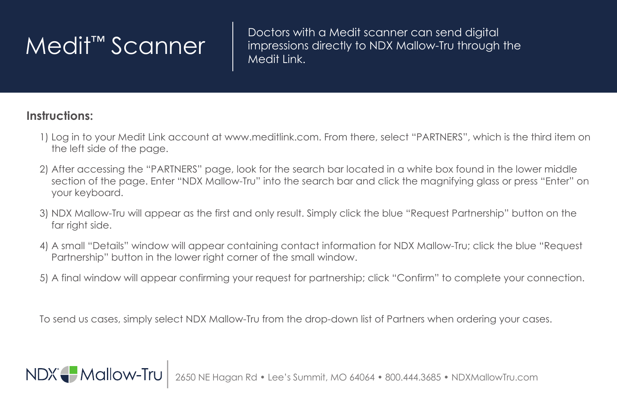$\mathsf{Medit}^{\mathsf{TM}}$   $\mathsf{Scanner}$   $\parallel$   $^\mathsf{Dectors}$  with a Medit scanner can send digital impressions directly to NDX Mallow-Tru through impressions directly to NDX Mallow-Tru through the Medit Link.

## **Instructions:**

NDX Mallow-Tru

- 1) Log in to your Medit Link account at www.meditlink.com. From there, select "PARTNERS", which is the third item on the left side of the page.
- 2) After accessing the "PARTNERS" page, look for the search bar located in a white box found in the lower middle section of the page. Enter "NDX Mallow-Tru" into the search bar and click the magnifying glass or press "Enter" on your keyboard.
- 3) NDX Mallow-Tru will appear as the first and only result. Simply click the blue "Request Partnership" button on the far right side.
- 4) A small "Details" window will appear containing contact information for NDX Mallow-Tru; click the blue "Request Partnership" button in the lower right corner of the small window.
- 5) A final window will appear confirming your request for partnership; click "Confirm" to complete your connection.

To send us cases, simply select NDX Mallow-Tru from the drop-down list of Partners when ordering your cases.

agan Rd • Lee's Summit, MO 64064 • 800.444.3685 • NDXMallowTru.com